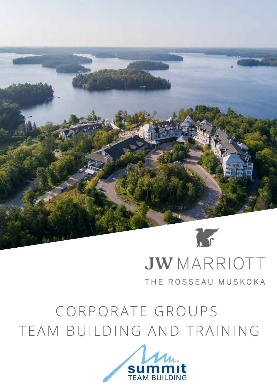

# **JW** MARRIOTT

THE ROSSEAU MUSKOKA

# CORPORATE GROUPS TEAM BUILDING AND TRAINING

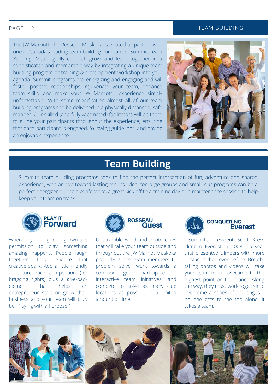#### PAGE | 2

The JW Marriott The Rosseau Muskoka is excited to partner with one of Canada's leading team building companies; Summit Team Building. Meaningfully connect, grow, and learn together in a sophisticated and memorable way by integrating a unique team building program or training & development workshop into your agenda. Summit programs are energizing and engaging and will foster positive relationships, rejuvenate your team, enhance team skills, and make your JW Marriott experience simply unforgettable! With some modification almost all of our team building programs can be delivered in a physically distanced, safe manner. Our skilled (and fully vaccinated) facilitators will be there to guide your participants throughout the experience, ensuring that each participant is engaged, following guidelines, and having an enjoyable experience.



# **Team Building**

Summit's team building programs seek to find the perfect intersection of fun, adventure and shared experience, with an eye toward lasting results. Ideal for large groups and small, our programs can be a perfect energizer during a conference, a great kick off to a training day or a maintenance session to help keep your team on track.



When you give grown-ups permission to play, something amazing happens. People laugh together. They re-ignite that creative spark. Add a little friendly adventure race competition (for bragging rights) plus a give-back element that helps an entrepreneur start or grow their business and your team will truly be "Playing with a Purpose."



Unscramble word and photo clues that will take your team outside and throughout the JW Marriot Muskoka property. Unite team members to problem solve, work towards a common goal, participate in interactive team initiatives, and compete to solve as many clue locations as possible in a limited amount of time.



Summit's president Scott Kress climbed Everest in 2008 - a year that presented climbers with more obstacles than ever before. Breathtaking photos and videos will take your team from basecamp to the highest point on the planet. Along the way, they must work together to overcome a series of challenges – no one gets to the top alone. It takes a team.

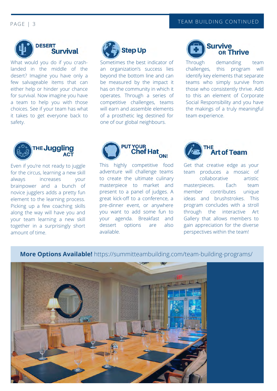

What would you do if you crashlanded in the middle of the desert? Imagine you have only a few salvageable items that can either help or hinder your chance for survival. Now imagine you have a team to help you with those choices. See if your team has what it takes to get everyone back to safety.



Even if you're not ready to juggle for the circus, learning a new skill always increases your brainpower and a bunch of novice jugglers adds a pretty fun element to the learning process. Picking up a few coaching skills along the way will have you and your team learning a new skill together in a surprisingly short amount of time.



Sometimes the best indicator of an organization's success lies beyond the bottom line and can be measured by the impact it has on the community in which it operates. Through a series of competitive challenges, teams will earn and assemble elements of a prosthetic leg destined for one of our global neighbours.



Through demanding team challenges, this program will identify key elements that separate teams who simply survive from those who consistently thrive. Add to this an element of Corporate Social Responsibility and you have the makings of a truly meaningful team experience.



This highly competitive food adventure will challenge teams to create the ultimate culinary masterpiece to market and present to a panel of judges. A great kick-off to a conference, a pre-dinner event, or anywhere you want to add some fun to your agenda. Breakfast and dessert options are also available.



Get that creative edge as your team produces a mosaic of collaborative artistic masterpieces. Each team member contributes unique ideas and brushstrokes. This program concludes with a stroll through the interactive Art Gallery that allows members to gain appreciation for the diverse perspectives within the team!

**More Options Available!** https://summitteambuilding.com/team-building-programs/

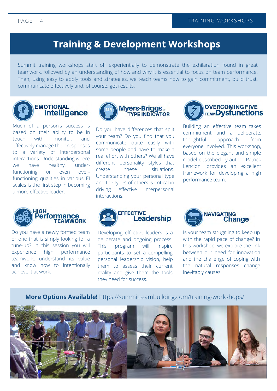### **Training & Development Workshops**

Summit training workshops start off experientially to demonstrate the exhilaration found in great teamwork, followed by an understanding of how and why it is essential to focus on team performance. Then, using easy to apply tools and strategies, we teach teams how to gain commitment, build trust, communicate effectively and, of course, get results.



#### **EMOTIONAL Intelligence**

Much of a person's success is based on their ability to be in touch with, monitor, and effectively manage their responses to a variety of interpersonal interactions. Understanding where we have healthy, underfunctioning or even overfunctioning qualities in various EI scales is the first step in becoming a more effective leader.



Do you have a newly formed team or one that is simply looking for a tune-up? In this session you will experience high performance teamwork, understand its value and know how to intentionally achieve it at work.



Do you have differences that split your team? Do you find that you communicate quite easily with some people and have to make a real effort with others? We all have different personality styles that create these situations. Understanding your personal type and the types of others is critical in driving effective interpersonal interactions.



Building an effective team takes commitment and a deliberate, thoughtful approach from everyone involved. This workshop, based on the elegant and simple model described by author Patrick Lencioni provides an excellent framework for developing a high performance team.



Developing effective leaders is a deliberate and ongoing process. This program will inspire participants to set a compelling personal leadership vision, help them to assess their current reality and give them the tools they need for success.



Is your team struggling to keep up with the rapid pace of change? In this workshop, we explore the link between our need for innovation and the challenge of coping with the natural responses change inevitably causes.

#### **More Options Available!** https://summitteambuilding.com/training-workshops/